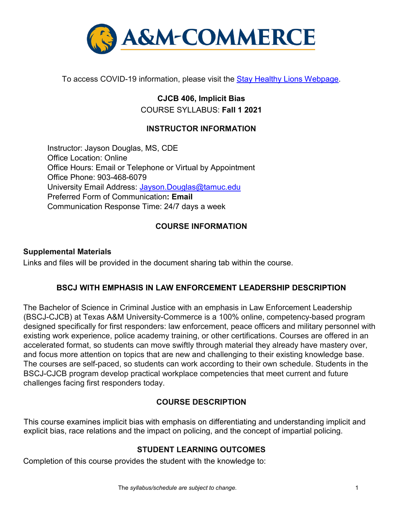

To access COVID-19 information, please visit the [Stay Healthy Lions Webpage.](https://new.tamuc.edu/coronavirus/)

**CJCB 406, Implicit Bias**  COURSE SYLLABUS: **Fall 1 2021** 

### **INSTRUCTOR INFORMATION**

Instructor: Jayson Douglas, MS, CDE Office Location: Online Office Hours: Email or Telephone or Virtual by Appointment Office Phone: 903-468-6079 University Email Address: Jayson.Douglas@tamuc.edu Preferred Form of Communication**: Email**  Communication Response Time: 24/7 days a week

### **COURSE INFORMATION**

#### **Supplemental Materials**

Links and files will be provided in the document sharing tab within the course.

### **BSCJ WITH EMPHASIS IN LAW ENFORCEMENT LEADERSHIP DESCRIPTION**

The Bachelor of Science in Criminal Justice with an emphasis in Law Enforcement Leadership (BSCJ-CJCB) at Texas A&M University-Commerce is a 100% online, competency-based program designed specifically for first responders: law enforcement, peace officers and military personnel with existing work experience, police academy training, or other certifications. Courses are offered in an accelerated format, so students can move swiftly through material they already have mastery over, and focus more attention on topics that are new and challenging to their existing knowledge base. The courses are self-paced, so students can work according to their own schedule. Students in the BSCJ-CJCB program develop practical workplace competencies that meet current and future challenges facing first responders today.

### **[COURSE DESCRIPTION](http://catalog.tamuc.edu/undergrad/colleges-and-departments/college-of-innovation-design/baas-organizational-leadership/?_ga=2.81546143.928332977.1616426723-584154711.1595512675)**

This course examines implicit bias with emphasis on differentiating and understanding implicit and explicit bias, race relations and the impact on policing, and the concept of impartial policing.

## **STUDENT LEARNING OUTCOMES**

Completion of this course provides the student with the knowledge to: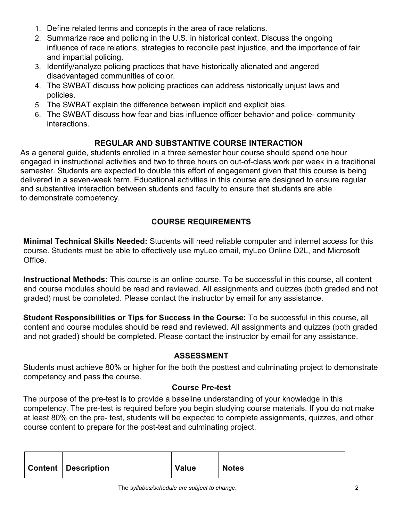- 1. Define related terms and concepts in the area of race relations.
- 2. Summarize race and policing in the U.S. in historical context. Discuss the ongoing influence of race relations, strategies to reconcile past injustice, and the importance of fair and impartial policing.
- 3. Identify/analyze policing practices that have historically alienated and angered disadvantaged communities of color.
- 4. The SWBAT discuss how policing practices can address historically unjust laws and policies.
- 5. The SWBAT explain the difference between implicit and explicit bias.
- 6. The SWBAT discuss how fear and bias influence officer behavior and police- community interactions.

# **REGULAR AND SUBSTANTIVE COURSE INTERACTION**

As a general guide, students enrolled in a three semester hour course should spend one hour engaged in instructional activities and two to three hours on out-of-class work per week in a traditional semester. Students are expected to double this effort of engagement given that this course is being delivered in a seven-week term. Educational activities in this course are designed to ensure regular and substantive interaction between students and faculty to ensure that students are able to demonstrate competency.

# **COURSE REQUIREMENTS**

**Minimal Technical Skills Needed:** Students will need reliable computer and internet access for this course. Students must be able to effectively use myLeo email, myLeo Online D2L, and Microsoft Office.

**Instructional Methods:** This course is an online course. To be successful in this course, all content and course modules should be read and reviewed. All assignments and quizzes (both graded and not graded) must be completed. Please contact the instructor by email for any assistance.

**Student Responsibilities or Tips for Success in the Course:** To be successful in this course, all content and course modules should be read and reviewed. All assignments and quizzes (both graded and not graded) should be completed. Please contact the instructor by email for any assistance.

# **ASSESSMENT**

Students must achieve 80% or higher for the both the posttest and culminating project to demonstrate competency and pass the course.

# **Course Pre-test**

The purpose of the pre-test is to provide a baseline understanding of your knowledge in this competency. The pre-test is required before you begin studying course materials. If you do not make at least 80% on the pre- test, students will be expected to complete assignments, quizzes, and other course content to prepare for the post-test and culminating project.

| <b>Content   Description</b> | <b>Value</b> | <b>Notes</b> |
|------------------------------|--------------|--------------|
|------------------------------|--------------|--------------|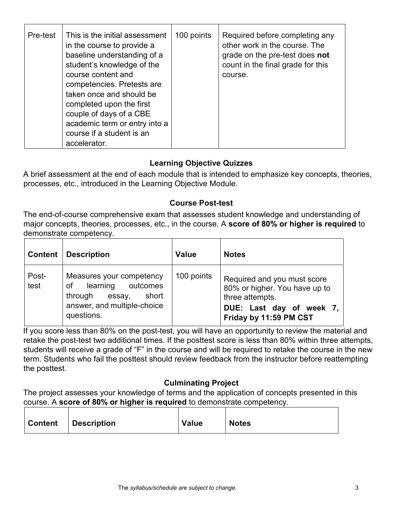| Pre-test | This is the initial assessment<br>in the course to provide a<br>baseline understanding of a<br>student's knowledge of the<br>course content and<br>competencies. Pretests are<br>taken once and should be<br>completed upon the first<br>couple of days of a CBE<br>academic term or entry into a | 100 points | Required before completing any<br>other work in the course. The<br>grade on the pre-test does not<br>count in the final grade for this<br>course. |
|----------|---------------------------------------------------------------------------------------------------------------------------------------------------------------------------------------------------------------------------------------------------------------------------------------------------|------------|---------------------------------------------------------------------------------------------------------------------------------------------------|
|          | course if a student is an<br>accelerator.                                                                                                                                                                                                                                                         |            |                                                                                                                                                   |

## **Learning Objective Quizzes**

A brief assessment at the end of each module that is intended to emphasize key concepts, theories, processes, etc., introduced in the Learning Objective Module.

## **Course Post-test**

The end-of-course comprehensive exam that assesses student knowledge and understanding of major concepts, theories, processes, etc., in the course. A **score of 80% or higher is required** to demonstrate competency.

| <b>Content</b> | Description                                                                                                                       | <b>Value</b> | <b>Notes</b>                                                                                                                          |
|----------------|-----------------------------------------------------------------------------------------------------------------------------------|--------------|---------------------------------------------------------------------------------------------------------------------------------------|
| Post-<br>test  | Measures your competency<br>learning<br>outcomes<br>οf<br>through<br>short<br>essay,<br>answer, and multiple-choice<br>questions. | 100 points   | Required and you must score<br>80% or higher. You have up to<br>three attempts.<br>DUE: Last day of week 7,<br>Friday by 11:59 PM CST |

If you score less than 80% on the post-test, you will have an opportunity to review the material and retake the post-test two additional times. If the posttest score is less than 80% within three attempts, students will receive a grade of "F" in the course and will be required to retake the course in the new term. Students who fail the posttest should review feedback from the instructor before reattempting the posttest.

## **Culminating Project**

The project assesses your knowledge of terms and the application of concepts presented in this course. A **score of 80% or higher is required** to demonstrate competency.

|  | Content Description | <b>Value</b> | <b>Notes</b> |
|--|---------------------|--------------|--------------|
|--|---------------------|--------------|--------------|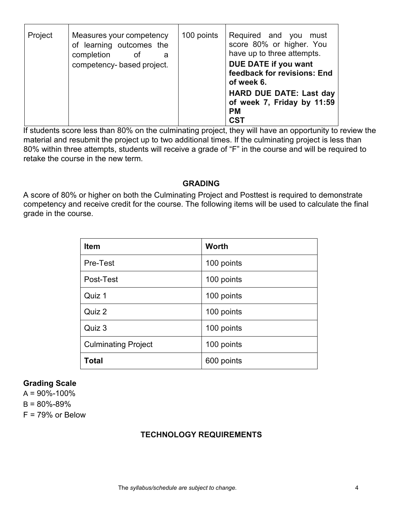| Project | Measures your competency<br>of learning outcomes the<br>completion<br>of<br>a | 100 points | Required and you<br>must<br>score 80% or higher. You<br>have up to three attempts.      |
|---------|-------------------------------------------------------------------------------|------------|-----------------------------------------------------------------------------------------|
|         | competency- based project.                                                    |            | DUE DATE if you want<br>feedback for revisions: End<br>of week 6.                       |
|         |                                                                               |            | <b>HARD DUE DATE: Last day</b><br>of week 7, Friday by 11:59<br><b>PM</b><br><b>CST</b> |

If students score less than 80% on the culminating project, they will have an opportunity to review the material and resubmit the project up to two additional times. If the culminating project is less than 80% within three attempts, students will receive a grade of "F" in the course and will be required to retake the course in the new term.

### **GRADING**

A score of 80% or higher on both the Culminating Project and Posttest is required to demonstrate competency and receive credit for the course. The following items will be used to calculate the final grade in the course.

| <b>Item</b>                | <b>Worth</b> |
|----------------------------|--------------|
| Pre-Test                   | 100 points   |
| Post-Test                  | 100 points   |
| Quiz 1                     | 100 points   |
| Quiz 2                     | 100 points   |
| Quiz 3                     | 100 points   |
| <b>Culminating Project</b> | 100 points   |
| <b>Total</b>               | 600 points   |

## **Grading Scale**

 $A = 90\% - 100\%$  $B = 80\% - 89\%$  $F = 79%$  or Below

### **TECHNOLOGY REQUIREMENTS**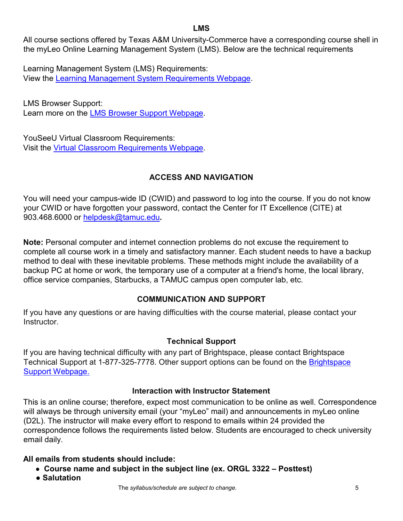### **LMS**

All course sections offered by Texas A&M University-Commerce have a corresponding course shell in the myLeo Online Learning Management System (LMS). Below are the technical requirements

Learning Management System (LMS) Requirements: View the [Learning Management System Requirements Webpage.](https://community.brightspace.com/s/article/Brightspace-Platform-Requirements)

LMS Browser Support: Learn more on the [LMS Browser Support Webpage.](https://documentation.brightspace.com/EN/brightspace/requirements/all/browser_support.htm)

YouSeeU Virtual Classroom Requirements: Visit the [Virtual Classroom Requirements Webpage.](https://support.youseeu.com/hc/en-us/articles/115007031107-Basic-System-Requirements)

# **ACCESS AND NAVIGATION**

You will need your campus-wide ID (CWID) and password to log into the course. If you do not know your CWID or have forgotten your password, contact the Center for IT Excellence (CITE) at 903.468.6000 or helpdesk@tamuc.edu**.** 

**Note:** Personal computer and internet connection problems do not excuse the requirement to complete all course work in a timely and satisfactory manner. Each student needs to have a backup method to deal with these inevitable problems. These methods might include the availability of a backup PC at home or work, the temporary use of a computer at a friend's home, the local library, office service companies, Starbucks, a TAMUC campus open computer lab, etc.

# **COMMUNICATION AND SUPPORT**

If you have any questions or are having difficulties with the course material, please contact your **Instructor** 

## **Technical Support**

If you are having technical difficulty with any part of Brightspace, please contact Brightspace Technical Support at 1-877-325-7778. Other support options can be found on the [Brightspace](https://community.brightspace.com/support/s/contactsupport)  [Support Webpage.](https://community.brightspace.com/support/s/contactsupport)

## **Interaction with Instructor Statement**

This is an online course; therefore, expect most communication to be online as well. Correspondence will always be through university email (your "myLeo" mail) and announcements in myLeo online (D2L). The instructor will make every effort to respond to emails within 24 provided the correspondence follows the requirements listed below. Students are encouraged to check university email daily.

# **All emails from students should include:**

- **Course name and subject in the subject line (ex. ORGL 3322 – Posttest)**
- **Salutation**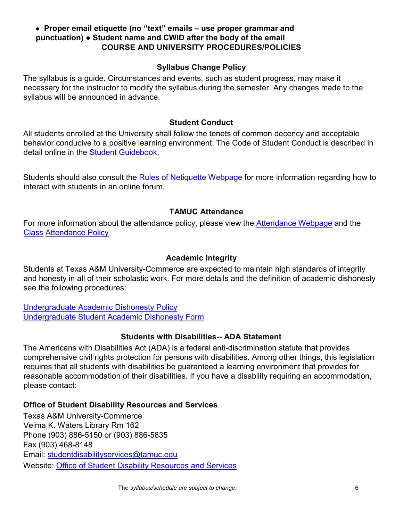### ● **Proper email etiquette (no "text" emails – use proper grammar and punctuation)** ● **Student name and CWID after the body of the email COURSE AND UNIVERSITY PROCEDURES/POLICIES**

### **Syllabus Change Policy**

The syllabus is a guide. Circumstances and events, such as student progress, may make it necessary for the instructor to modify the syllabus during the semester. Any changes made to the syllabus will be announced in advance.

### **Student Conduct**

All students enrolled at the University shall follow the tenets of common decency and acceptable behavior conducive to a positive learning environment. The Code of Student Conduct is described in detail online in the [Student Guidebook.](http://www.tamuc.edu/Admissions/oneStopShop/undergraduateAdmissions/studentGuidebook.aspx)

Students should also consult the [Rules of Netiquette Webpage](https://www.britannica.com/topic/netiquette) [fo](https://www.britannica.com/topic/netiquette)r more information regarding how to interact with students in an online forum.

## **TAMUC Attendance**

For more information about the attendance policy, please view the [Attendance](http://www.tamuc.edu/admissions/registrar/generalInformation/attendance.aspx) [Webpage](http://www.tamuc.edu/admissions/registrar/generalInformation/attendance.aspx) [an](http://www.tamuc.edu/admissions/registrar/generalInformation/attendance.aspx)d the [Class](http://www.tamuc.edu/aboutUs/policiesProceduresStandardsStatements/rulesProcedures/13students/academic/13.99.99.R0.01.pdf) [Attendance Policy](http://www.tamuc.edu/aboutUs/policiesProceduresStandardsStatements/rulesProcedures/13students/academic/13.99.99.R0.01.pdf)

### **Academic Integrity**

Students at Texas A&M University-Commerce are expected to maintain high standards of integrity and honesty in all of their scholastic work. For more details and the definition of academic dishonesty see the following procedures:

[Undergraduate Academic Dishonesty Po](http://www.tamuc.edu/aboutUs/policiesProceduresStandardsStatements/rulesProcedures/13students/undergraduates/13.99.99.R0.03UndergraduateAcademicDishonesty.pdf)licy [Undergraduate Student Academic Dishonesty Form](http://www.tamuc.edu/aboutUs/policiesProceduresStandardsStatements/rulesProcedures/documents/13.99.99.R0.03UndergraduateStudentAcademicDishonestyForm.pdf)

### **Students with Disabilities-- ADA Statement**

The Americans with Disabilities Act (ADA) is a federal anti-discrimination statute that provides comprehensive civil rights protection for persons with disabilities. Among other things, this legislation requires that all students with disabilities be guaranteed a learning environment that provides for reasonable accommodation of their disabilities. If you have a disability requiring an accommodation, please contact:

### **Office of Student Disability Resources and Services**

Texas A&M University-Commerce Velma K. Waters Library Rm 162 Phone (903) 886-5150 or (903) 886-5835 Fax (903) 468-8148 Email: studentdisabilityservices@tamuc.edu Website: [Office of Student Disability Resources and Services](http://www.tamuc.edu/campusLife/campusServices/studentDisabilityResourcesAndServices/)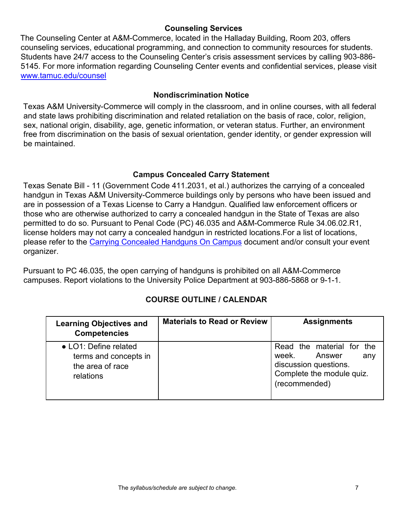### **Counseling Services**

The Counseling Center at A&M-Commerce, located in the Halladay Building, Room 203, offers counseling services, educational programming, and connection to community resources for students. Students have 24/7 access to the Counseling Center's crisis assessment services by calling 903-886- 5145. For more information regarding Counseling Center events and confidential services, please visit [www.tamuc.edu/counsel](http://www.tamuc.edu/counsel)

### **Nondiscrimination Notice**

Texas A&M University-Commerce will comply in the classroom, and in online courses, with all federal and state laws prohibiting discrimination and related retaliation on the basis of race, color, religion, sex, national origin, disability, age, genetic information, or veteran status. Further, an environment free from discrimination on the basis of sexual orientation, gender identity, or gender expression will be maintained.

### **Campus Concealed Carry Statement**

Texas Senate Bill - 11 (Government Code 411.2031, et al.) authorizes the carrying of a concealed handgun in Texas A&M University-Commerce buildings only by persons who have been issued and are in possession of a Texas License to Carry a Handgun. Qualified law enforcement officers or those who are otherwise authorized to carry a concealed handgun in the State of Texas are also permitted to do so. Pursuant to Penal Code (PC) 46.035 and A&M-Commerce Rule 34.06.02.R1, license holders may not carry a concealed handgun in restricted locations.For a list of locations, please refer to the [Carrying Concealed Handguns On Campus](http://www.tamuc.edu/aboutUs/policiesProceduresStandardsStatements/rulesProcedures/34SafetyOfEmployeesAndStudents/34.06.02.R1.pdf) document and/or consult your event organizer.

Pursuant to PC 46.035, the open carrying of handguns is prohibited on all A&M-Commerce campuses. Report violations to the University Police Department at 903-886-5868 or 9-1-1.

# **COURSE OUTLINE / CALENDAR**

| <b>Learning Objectives and</b><br><b>Competencies</b>                           | <b>Materials to Read or Review</b> | <b>Assignments</b>                                                                                                         |
|---------------------------------------------------------------------------------|------------------------------------|----------------------------------------------------------------------------------------------------------------------------|
| • LO1: Define related<br>terms and concepts in<br>the area of race<br>relations |                                    | Read the material for the<br>Answer<br>week.<br>any<br>discussion questions.<br>Complete the module quiz.<br>(recommended) |